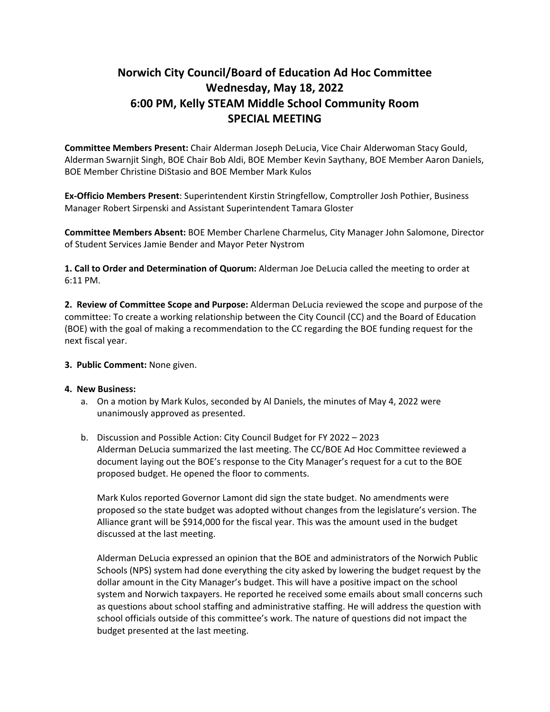## **Norwich City Council/Board of Education Ad Hoc Committee Wednesday, May 18, 2022 6:00 PM, Kelly STEAM Middle School Community Room SPECIAL MEETING**

**Committee Members Present:** Chair Alderman Joseph DeLucia, Vice Chair Alderwoman Stacy Gould, Alderman Swarnjit Singh, BOE Chair Bob Aldi, BOE Member Kevin Saythany, BOE Member Aaron Daniels, BOE Member Christine DiStasio and BOE Member Mark Kulos

**Ex‐Officio Members Present**: Superintendent Kirstin Stringfellow, Comptroller Josh Pothier, Business Manager Robert Sirpenski and Assistant Superintendent Tamara Gloster

**Committee Members Absent:** BOE Member Charlene Charmelus, City Manager John Salomone, Director of Student Services Jamie Bender and Mayor Peter Nystrom

**1. Call to Order and Determination of Quorum:** Alderman Joe DeLucia called the meeting to order at 6:11 PM.

**2. Review of Committee Scope and Purpose:** Alderman DeLucia reviewed the scope and purpose of the committee: To create a working relationship between the City Council (CC) and the Board of Education (BOE) with the goal of making a recommendation to the CC regarding the BOE funding request for the next fiscal year.

## **3. Public Comment:** None given.

## **4. New Business:**

- a. On a motion by Mark Kulos, seconded by Al Daniels, the minutes of May 4, 2022 were unanimously approved as presented.
- b. Discussion and Possible Action: City Council Budget for FY 2022 2023 Alderman DeLucia summarized the last meeting. The CC/BOE Ad Hoc Committee reviewed a document laying out the BOE's response to the City Manager's request for a cut to the BOE proposed budget. He opened the floor to comments.

Mark Kulos reported Governor Lamont did sign the state budget. No amendments were proposed so the state budget was adopted without changes from the legislature's version. The Alliance grant will be \$914,000 for the fiscal year. This was the amount used in the budget discussed at the last meeting.

Alderman DeLucia expressed an opinion that the BOE and administrators of the Norwich Public Schools (NPS) system had done everything the city asked by lowering the budget request by the dollar amount in the City Manager's budget. This will have a positive impact on the school system and Norwich taxpayers. He reported he received some emails about small concerns such as questions about school staffing and administrative staffing. He will address the question with school officials outside of this committee's work. The nature of questions did not impact the budget presented at the last meeting.